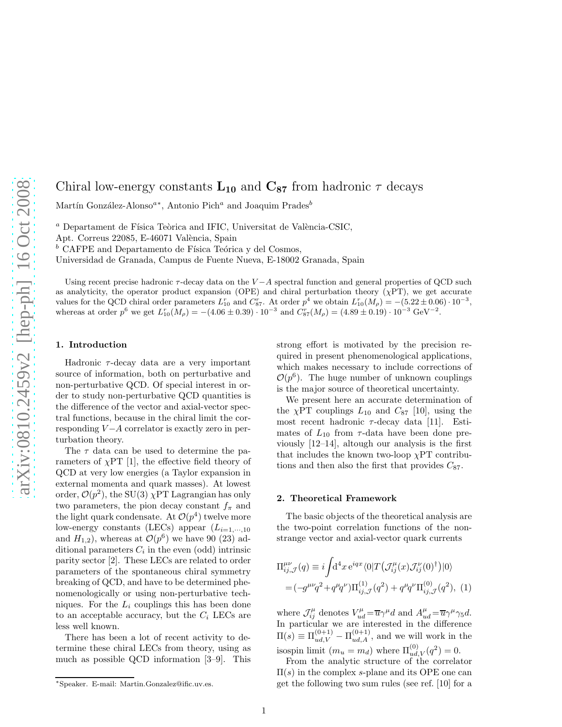# Chiral low-energy constants  $L_{10}$  and  $C_{87}$  from hadronic  $\tau$  decays

Martín González-Alonso<sup>a∗</sup>, Antonio Pich<sup>a</sup> and Joaquim Prades<sup>b</sup>

 $^a$  Departament de Física Teòrica and IFIC, Universitat de València-CSIC,

Apt. Correus 22085, E-46071 València, Spain

 $b$  CAFPE and Departamento de Física Teórica y del Cosmos,

Universidad de Granada, Campus de Fuente Nueva, E-18002 Granada, Spain

Using recent precise hadronic  $\tau$ -decay data on the  $V - A$  spectral function and general properties of QCD such as analyticity, the operator product expansion (OPE) and chiral perturbation theory  $(\chi PT)$ , we get accurate values for the QCD chiral order parameters  $L_{10}^r$  and  $C_{87}^r$ . At order  $p^4$  we obtain  $L_{10}^r(M_\rho) = -(5.22 \pm 0.06) \cdot 10^{-3}$ , whereas at order  $p^6$  we get  $L_{10}^r(M_\rho) = -(4.06 \pm 0.39) \cdot 10^{-3}$  and  $C_{87}^r(M_\rho) = (4.89 \pm 0.19) \cdot 10^{-3}$  GeV<sup>-2</sup>.

## 1. Introduction

Hadronic  $\tau$ -decay data are a very important source of information, both on perturbative and non-perturbative QCD. Of special interest in order to study non-perturbative QCD quantities is the difference of the vector and axial-vector spectral functions, because in the chiral limit the corresponding  $V - A$  correlator is exactly zero in perturbation theory.

The  $\tau$  data can be used to determine the parameters of  $\chi$ PT [1], the effective field theory of QCD at very low energies (a Taylor expansion in external momenta and quark masses). At lowest order,  $\mathcal{O}(p^2)$ , the SU(3)  $\chi$ PT Lagrangian has only two parameters, the pion decay constant  $f_{\pi}$  and the light quark condensate. At  $\mathcal{O}(p^4)$  twelve more low-energy constants (LECs) appear  $(L_{i=1,\dots,10})$ and  $H_{1,2}$ ), whereas at  $\mathcal{O}(p^6)$  we have 90 (23) additional parameters  $C_i$  in the even (odd) intrinsic parity sector [2]. These LECs are related to order parameters of the spontaneous chiral symmetry breaking of QCD, and have to be determined phenomenologically or using non-perturbative techniques. For the  $L_i$  couplings this has been done to an acceptable accuracy, but the  $C_i$  LECs are less well known.

There has been a lot of recent activity to determine these chiral LECs from theory, using as much as possible QCD information [3–9]. This strong effort is motivated by the precision required in present phenomenological applications, which makes necessary to include corrections of  $\mathcal{O}(p^6)$ . The huge number of unknown couplings is the major source of theoretical uncertainty.

We present here an accurate determination of the  $\chi PT$  couplings  $L_{10}$  and  $C_{87}$  [10], using the most recent hadronic  $\tau$ -decay data [11]. Estimates of  $L_{10}$  from  $\tau$ -data have been done previously [12–14], altough our analysis is the first that includes the known two-loop  $\chi PT$  contributions and then also the first that provides  $C_{87}$ .

## 2. Theoretical Framework

The basic objects of the theoretical analysis are the two-point correlation functions of the nonstrange vector and axial-vector quark currents

$$
\Pi_{ij,\mathcal{J}}^{\mu\nu}(q) \equiv i \int d^4x \, e^{iqx} \langle 0|T \left( \mathcal{J}_{ij}^{\mu}(x) \mathcal{J}_{ij}^{\nu}(0)^{\dagger} \right) |0\rangle
$$
\n
$$
= (-g^{\mu\nu}q^2 + q^{\mu}q^{\nu}) \Pi_{ij,\mathcal{J}}^{(1)}(q^2) + q^{\mu}q^{\nu} \Pi_{ij,\mathcal{J}}^{(0)}(q^2), \tag{1}
$$

where  $\mathcal{J}_{ij}^{\mu}$  denotes  $V_{ud}^{\mu} = \overline{u}\gamma^{\mu}d$  and  $A_{ud}^{\mu} = \overline{u}\gamma^{\mu}\gamma_5d$ . In particular we are interested in the difference  $\Pi(s) \equiv \Pi_{ud,V}^{(0+1)} - \Pi_{ud,A}^{(0+1)}$ , and we will work in the isospin limit  $(m_u = m_d)$  where  $\Pi_{ud,V}^{(0)}(q^2) = 0$ .

From the analytic structure of the correlator  $\Pi(s)$  in the complex s-plane and its OPE one can get the following two sum rules (see ref. [10] for a

<sup>∗</sup>Speaker. E-mail: Martin.Gonzalez@ific.uv.es.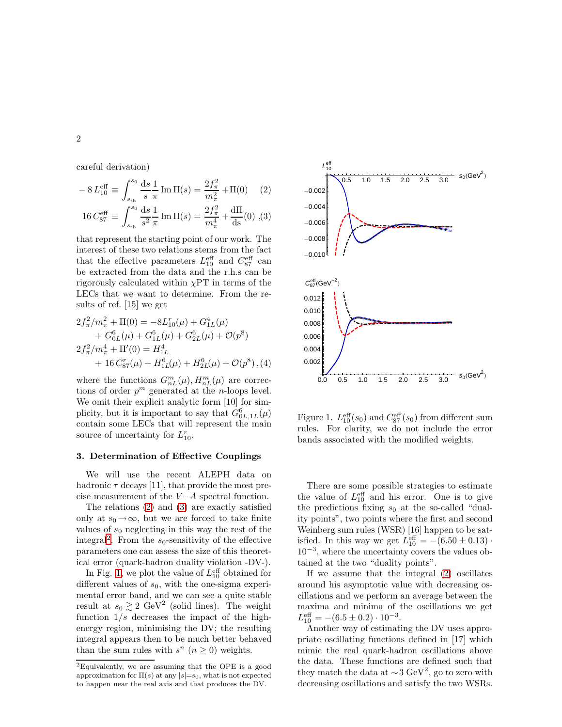careful derivation)

<span id="page-1-0"></span>
$$
-8L_{10}^{\text{eff}} \equiv \int_{s_{\text{th}}}^{s_0} \frac{\text{d}s}{s} \frac{1}{\pi} \text{Im}\,\Pi(s) = \frac{2f_{\pi}^2}{m_{\pi}^2} + \Pi(0) \tag{2}
$$

$$
16\,C_{87}^{\text{eff}} \equiv \int_{s_{\text{th}}}^{s_0} \frac{\text{d}s}{s^2} \frac{1}{\pi} \,\text{Im}\,\Pi(s) = \frac{2 f_\pi^2}{m_\pi^4} + \frac{\text{d}\Pi}{\text{d}s}(0) \,\,, \tag{3}
$$

that represent the starting point of our work. The interest of these two relations stems from the fact that the effective parameters  $L_{10}^{\text{eff}}$  and  $C_{87}^{\text{eff}}$  can be extracted from the data and the r.h.s can be rigorously calculated within  $\chi$ PT in terms of the LECs that we want to determine. From the results of ref. [15] we get

<span id="page-1-3"></span>
$$
2f_{\pi}^{2}/m_{\pi}^{2} + \Pi(0) = -8L_{10}^{r}(\mu) + G_{1L}^{4}(\mu)
$$
  
+  $G_{0L}^{6}(\mu) + G_{1L}^{6}(\mu) + G_{2L}^{6}(\mu) + \mathcal{O}(p^{8})$   

$$
2f_{\pi}^{2}/m_{\pi}^{4} + \Pi'(0) = H_{1L}^{4}
$$
  
+  $16 C_{87}^{r}(\mu) + H_{1L}^{6}(\mu) + H_{2L}^{6}(\mu) + \mathcal{O}(p^{8}), (4)$ 

where the functions  $G_{nL}^m(\mu)$ ,  $H_{nL}^m(\mu)$  are corrections of order  $p^m$  generated at the *n*-loops level. We omit their explicit analytic form [10] for simplicity, but it is important to say that  $G_{0L,1L}^6(\mu)$ contain some LECs that will represent the main source of uncertainty for  $L_{10}^r$ .

## 3. Determination of Effective Couplings

We will use the recent ALEPH data on hadronic  $\tau$  decays [11], that provide the most precise measurement of the V−A spectral function.

The relations [\(2\)](#page-1-0) and [\(3\)](#page-1-0) are exactly satisfied only at  $s_0 \rightarrow \infty$ , but we are forced to take finite values of  $s_0$  neglecting in this way the rest of the integral<sup>[2](#page-1-1)</sup>. From the  $s_0$ -sensitivity of the effective parameters one can assess the size of this theoretical error (quark-hadron duality violation -DV-).

In Fig. [1,](#page-1-2) we plot the value of  $L_{10}^{\text{eff}}$  obtained for different values of  $s_0$ , with the one-sigma experimental error band, and we can see a quite stable result at  $s_0 \gtrsim 2 \text{ GeV}^2$  (solid lines). The weight function  $1/s$  decreases the impact of the highenergy region, minimising the DV; the resulting integral appears then to be much better behaved than the sum rules with  $s^n$   $(n \geq 0)$  weights.



<span id="page-1-2"></span>Figure 1.  $L_{10}^{\text{eff}}(s_0)$  and  $C_{87}^{\text{eff}}(s_0)$  from different sum rules. For clarity, we do not include the error bands associated with the modified weights.

There are some possible strategies to estimate the value of  $L_{10}^{\text{eff}}$  and his error. One is to give the predictions fixing  $s_0$  at the so-called "duality points", two points where the first and second Weinberg sum rules (WSR) [16] happen to be satisfied. In this way we get  $L_{10}^{\text{eff}} = -(6.50 \pm 0.13) \cdot$ 10−<sup>3</sup> , where the uncertainty covers the values obtained at the two "duality points".

If we assume that the integral [\(2\)](#page-1-0) oscillates around his asymptotic value with decreasing oscillations and we perform an average between the maxima and minima of the oscillations we get  $L_{10}^{\text{eff}} = -(6.5 \pm 0.2) \cdot 10^{-3}.$ 

Another way of estimating the DV uses appropriate oscillating functions defined in [17] which mimic the real quark-hadron oscillations above the data. These functions are defined such that they match the data at  $\sim$ 3 GeV<sup>2</sup>, go to zero with decreasing oscillations and satisfy the two WSRs.

<span id="page-1-1"></span><sup>2</sup>Equivalently, we are assuming that the OPE is a good approximation for  $\Pi(s)$  at any  $|s|=s_0$ , what is not expected to happen near the real axis and that produces the DV.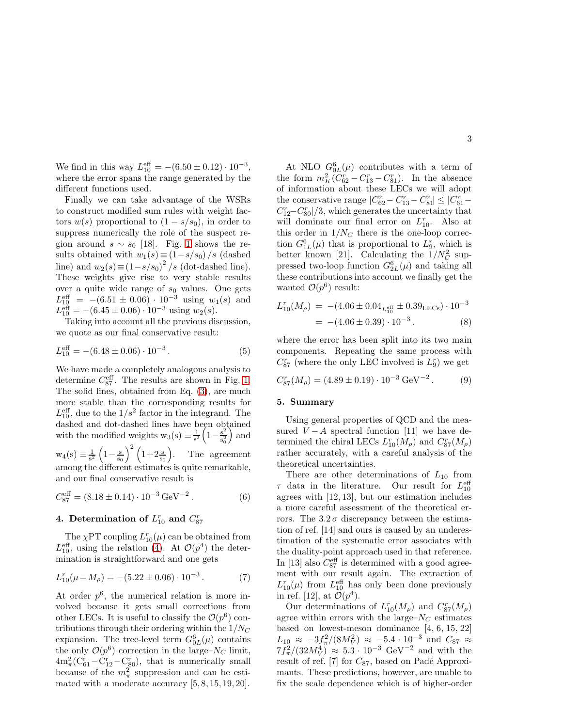We find in this way  $L_{10}^{\text{eff}} = -(6.50 \pm 0.12) \cdot 10^{-3}$ , where the error spans the range generated by the different functions used.

Finally we can take advantage of the WSRs to construct modified sum rules with weight factors  $w(s)$  proportional to  $(1 - s/s_0)$ , in order to suppress numerically the role of the suspect region around  $s \sim s_0$  [18]. Fig. [1](#page-1-2) shows the results obtained with  $w_1(s) \equiv (1-s/s_0)/s$  (dashed line) and  $w_2(s) \equiv (1 - s/s_0)^2 / s$  (dot-dashed line). These weights give rise to very stable results over a quite wide range of  $s_0$  values. One gets  $L_{10}^{\text{eff}} = -(6.51 \pm 0.06) \cdot 10^{-3}$  using  $w_1(s)$  and  $L_{10}^{\text{eff}} = -(6.45 \pm 0.06) \cdot 10^{-3}$  using  $w_2(s)$ .

Taking into account all the previous discussion, we quote as our final conservative result:

$$
L_{10}^{\text{eff}} = -(6.48 \pm 0.06) \cdot 10^{-3} \,. \tag{5}
$$

We have made a completely analogous analysis to determine  $C_{87}^{\text{eff}}$ . The results are shown in Fig. [1.](#page-1-2) The solid lines, obtained from Eq. [\(3\)](#page-1-0), are much more stable than the corresponding results for  $L_{10}^{\text{eff}}$ , due to the  $1/s^2$  factor in the integrand. The dashed and dot-dashed lines have been obtained with the modified weights  $w_3(s) \equiv \frac{1}{s^2} \left(1 - \frac{s^2}{s_0^2}\right)$  $\frac{s^2}{s_0^2}$  and

 $w_4(s) \equiv \frac{1}{s^2} \left(1 - \frac{s}{s_0}\right)^2 \left(1 + 2\frac{s}{s_0}\right)$ . The agreement among the different estimates is quite remarkable, and our final conservative result is

$$
C_{87}^{\text{eff}} = (8.18 \pm 0.14) \cdot 10^{-3} \,\text{GeV}^{-2} \,. \tag{6}
$$

## 4. Determination of  $L_{10}^r$  and  $C_{87}^r$

The  $\chi$ PT coupling  $L_{10}^r(\mu)$  can be obtained from  $L_{10}^{\text{eff}}$ , using the relation [\(4\)](#page-1-3). At  $\mathcal{O}(p^4)$  the determination is straightforward and one gets

<span id="page-2-0"></span>
$$
L_{10}^r(\mu = M_\rho) = -(5.22 \pm 0.06) \cdot 10^{-3} \,. \tag{7}
$$

At order  $p^6$ , the numerical relation is more involved because it gets small corrections from other LECs. It is useful to classify the  $\mathcal{O}(p^6)$  contributions through their ordering within the  $1/N<sub>C</sub>$ expansion. The tree-level term  $G_{0L}^6(\mu)$  contains the only  $\mathcal{O}(p^6)$  correction in the large– $N_C$  limit,  $4m_{\pi}^2(C_{61}^r - C_{12}^r - C_{80}^r)$ , that is numerically small because of the  $m_{\pi}^2$  suppression and can be estimated with a moderate accuracy [5, 8, 15, 19, 20].

At NLO  $G_{0L}^6(\mu)$  contributes with a term of the form  $m_K^2 (C_{62}^r - C_{13}^r - C_{81}^r)$ . In the absence of information about these LECs we will adopt the conservative range  $|C_{62}^{r} - C_{13}^{r} - C_{81}^{r}| \leq |C_{61}^{r} - C_{13}^{r}|$  $C_{12}^{r}-C_{80}^{r}/3$ , which generates the uncertainty that will dominate our final error on  $L_{10}^r$ . Also at this order in  $1/N_C$  there is the one-loop correction  $G_{1L}^6(\mu)$  that is proportional to  $L_9^r$ , which is better known [21]. Calculating the  $1/N_C^2$  suppressed two-loop function  $G_{2L}^6(\mu)$  and taking all these contributions into account we finally get the wanted  $\mathcal{O}(p^6)$  result:

$$
L_{10}^{r}(M_{\rho}) = -(4.06 \pm 0.04_{L_{10}^{\text{eff}}} \pm 0.39_{\text{LECs}}) \cdot 10^{-3}
$$
  
= -(4.06 \pm 0.39) \cdot 10^{-3}. (8)

where the error has been split into its two main components. Repeating the same process with  $C_{87}^{r}$  (where the only LEC involved is  $L_{9}^{r}$ ) we get

$$
C_{87}^r(M_\rho) = (4.89 \pm 0.19) \cdot 10^{-3} \,\text{GeV}^{-2} \,. \tag{9}
$$

#### 5. Summary

Using general properties of QCD and the measured  $V - A$  spectral function [11] we have determined the chiral LECs  $L_{10}^r(M_\rho)$  and  $C_{87}^r(M_\rho)$ rather accurately, with a careful analysis of the theoretical uncertainties.

There are other determinations of  $L_{10}$  from  $\tau$  data in the literature. Our result for  $L_{10}^{\text{eff}}$ agrees with [12, 13], but our estimation includes a more careful assessment of the theoretical errors. The  $3.2\sigma$  discrepancy between the estimation of ref. [14] and ours is caused by an underestimation of the systematic error associates with the duality-point approach used in that reference. In [13] also  $C_{87}^{\text{eff}}$  is determined with a good agreement with our result again. The extraction of  $L_{10}^r(\mu)$  from  $L_{10}^{\text{eff}}$  has only been done previously in ref. [12], at  $\mathcal{O}(p^4)$ .

Our determinations of  $L_{10}^r(M_\rho)$  and  $C_{87}^r(M_\rho)$ agree within errors with the large– $N_C$  estimates based on lowest-meson dominance [4, 6, 15, 22]  $L_{10} \approx -3f_{\pi}^2/(8M_V^2) \approx -5.4 \cdot 10^{-3}$  and  $C_{87} \approx$  $7f_{\pi}^2/(32M_V^4) \approx 5.3 \cdot 10^{-3} \text{ GeV}^{-2}$  and with the result of ref. [7] for  $C_{87}$ , based on Padé Approximants. These predictions, however, are unable to fix the scale dependence which is of higher-order